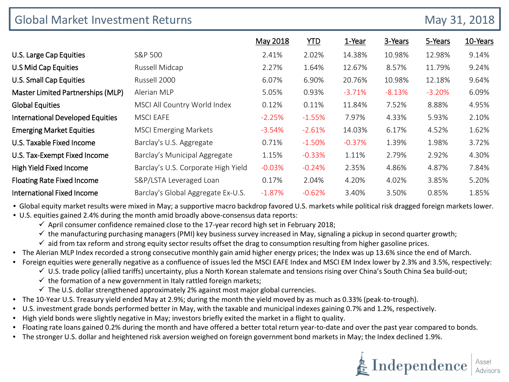| <b>Global Market Investment Returns</b> |                                     |           |            |          |          |          | May 31, 2018 |  |
|-----------------------------------------|-------------------------------------|-----------|------------|----------|----------|----------|--------------|--|
|                                         |                                     | May 2018  | <b>YTD</b> | 1-Year   | 3-Years  | 5-Years  | 10-Years     |  |
| U.S. Large Cap Equities                 | S&P 500                             | 2.41%     | 2.02%      | 14.38%   | 10.98%   | 12.98%   | 9.14%        |  |
| U.S Mid Cap Equities                    | Russell Midcap                      | 2.27%     | 1.64%      | 12.67%   | 8.57%    | 11.79%   | 9.24%        |  |
| U.S. Small Cap Equities                 | Russell 2000                        | 6.07%     | 6.90%      | 20.76%   | 10.98%   | 12.18%   | 9.64%        |  |
| Master Limited Partnerships (MLP)       | Alerian MLP                         | 5.05%     | 0.93%      | $-3.71%$ | $-8.13%$ | $-3.20%$ | 6.09%        |  |
| <b>Global Equities</b>                  | MSCI All Country World Index        | 0.12%     | 0.11%      | 11.84%   | 7.52%    | 8.88%    | 4.95%        |  |
| <b>International Developed Equities</b> | <b>MSCI EAFE</b>                    | $-2.25%$  | $-1.55%$   | 7.97%    | 4.33%    | 5.93%    | 2.10%        |  |
| <b>Emerging Market Equities</b>         | <b>MSCI Emerging Markets</b>        | $-3.54%$  | $-2.61%$   | 14.03%   | 6.17%    | 4.52%    | 1.62%        |  |
| U.S. Taxable Fixed Income               | Barclay's U.S. Aggregate            | 0.71%     | $-1.50%$   | $-0.37%$ | 1.39%    | 1.98%    | 3.72%        |  |
| U.S. Tax-Exempt Fixed Income            | Barclay's Municipal Aggregate       | 1.15%     | $-0.33%$   | 1.11%    | 2.79%    | 2.92%    | 4.30%        |  |
| High Yield Fixed Income                 | Barclay's U.S. Corporate High Yield | $-0.03\%$ | $-0.24%$   | 2.35%    | 4.86%    | 4.87%    | 7.84%        |  |
| <b>Floating Rate Fixed Income</b>       | S&P/LSTA Leveraged Loan             | 0.17%     | 2.04%      | 4.20%    | 4.02%    | 3.85%    | 5.20%        |  |
| <b>International Fixed Income</b>       | Barclay's Global Aggregate Ex-U.S.  | $-1.87%$  | $-0.62%$   | 3.40%    | 3.50%    | 0.85%    | 1.85%        |  |

• Global equity market results were mixed in May; a supportive macro backdrop favored U.S. markets while political risk dragged foreign markets lower.

• U.S. equities gained 2.4% during the month amid broadly above-consensus data reports:

 $\checkmark$  April consumer confidence remained close to the 17-year record high set in February 2018;

- $\checkmark$  the manufacturing purchasing managers (PMI) key business survey increased in May, signaling a pickup in second quarter growth;
- $\checkmark$  aid from tax reform and strong equity sector results offset the drag to consumption resulting from higher gasoline prices.
- The Alerian MLP Index recorded a strong consecutive monthly gain amid higher energy prices; the Index was up 13.6% since the end of March.
- Foreign equities were generally negative as a confluence of issues led the MSCI EAFE Index and MSCI EM Index lower by 2.3% and 3.5%, respectively:
	- $\checkmark$  U.S. trade policy (allied tariffs) uncertainty, plus a North Korean stalemate and tensions rising over China's South China Sea build-out;
	- $\checkmark$  the formation of a new government in Italy rattled foreign markets;
	- $\checkmark$  The U.S. dollar strengthened approximately 2% against most major global currencies.
- The 10-Year U.S. Treasury yield ended May at 2.9%; during the month the yield moved by as much as 0.33% (peak-to-trough).
- U.S. investment grade bonds performed better in May, with the taxable and municipal indexes gaining 0.7% and 1.2%, respectively.
- High yield bonds were slightly negative in May; investors briefly exited the market in a flight to quality.
- Floating rate loans gained 0.2% during the month and have offered a better total return year-to-date and over the past year compared to bonds.
- The stronger U.S. dollar and heightened risk aversion weighed on foreign government bond markets in May; the Index declined 1.9%.